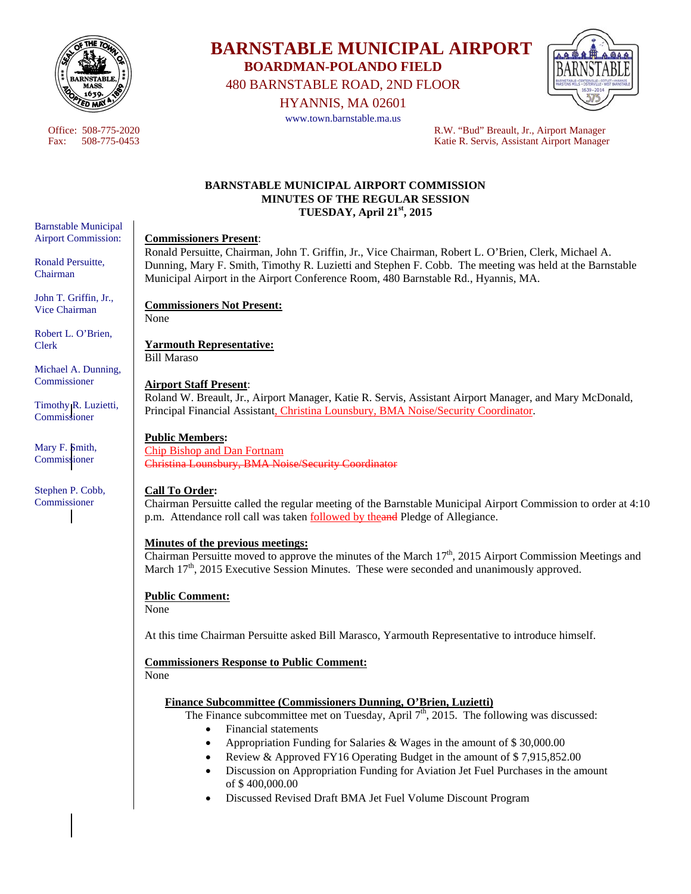

Barnstable Municipal Airport Commission:

Ronald Persuitte, Chairman

John T. Griffin, Jr., Vice Chairman

Robert L. O'Brien,

Michael A. Dunning, **Commissioner** 

Timothy R. Luzietti, Commissioner

Mary F. Smith, Commissioner

Stephen P. Cobb, Commissioner

Clerk

# **BARNSTABLE MUNICIPAL AIRPORT BOARDMAN-POLANDO FIELD**

480 BARNSTABLE ROAD, 2ND FLOOR

HYANNIS, MA 02601

www.town.barnstable.ma.us



Office: 508-775-2020<br>
Fax: 508-775-0453<br>
R.W. "Bud" Breault, Jr., Airport Manager<br>
Ratie R. Servis. Assistant Airport Manager Katie R. Servis, Assistant Airport Manager

## **BARNSTABLE MUNICIPAL AIRPORT COMMISSION MINUTES OF THE REGULAR SESSION TUESDAY, April 21st, 2015**

## **Commissioners Present**:

Ronald Persuitte, Chairman, John T. Griffin, Jr., Vice Chairman, Robert L. O'Brien, Clerk, Michael A. Dunning, Mary F. Smith, Timothy R. Luzietti and Stephen F. Cobb. The meeting was held at the Barnstable Municipal Airport in the Airport Conference Room, 480 Barnstable Rd., Hyannis, MA.

**Commissioners Not Present:** 

None

**Yarmouth Representative:**  Bill Maraso

## **Airport Staff Present**:

Roland W. Breault, Jr., Airport Manager, Katie R. Servis, Assistant Airport Manager, and Mary McDonald, Principal Financial Assistant, Christina Lounsbury, BMA Noise/Security Coordinator.

# **Public Members:**

Chip Bishop and Dan Fortnam Christina Lounsbury, BMA Noise/Security Coordinator

### **Call To Order:**

Chairman Persuitte called the regular meeting of the Barnstable Municipal Airport Commission to order at 4:10 p.m. Attendance roll call was taken followed by theand Pledge of Allegiance.

### **Minutes of the previous meetings:**

Chairman Persuitte moved to approve the minutes of the March 17<sup>th</sup>, 2015 Airport Commission Meetings and March 17<sup>th</sup>, 2015 Executive Session Minutes. These were seconded and unanimously approved.

# **Public Comment:**

None

At this time Chairman Persuitte asked Bill Marasco, Yarmouth Representative to introduce himself.

# **Commissioners Response to Public Comment:**

None

### **Finance Subcommittee (Commissioners Dunning, O'Brien, Luzietti)**

The Finance subcommittee met on Tuesday, April  $7<sup>th</sup>$ , 2015. The following was discussed:

- Financial statements
- Appropriation Funding for Salaries & Wages in the amount of \$ 30,000.00
	- Review & Approved FY16 Operating Budget in the amount of \$ 7,915,852.00
- Discussion on Appropriation Funding for Aviation Jet Fuel Purchases in the amount of \$ 400,000.00
- Discussed Revised Draft BMA Jet Fuel Volume Discount Program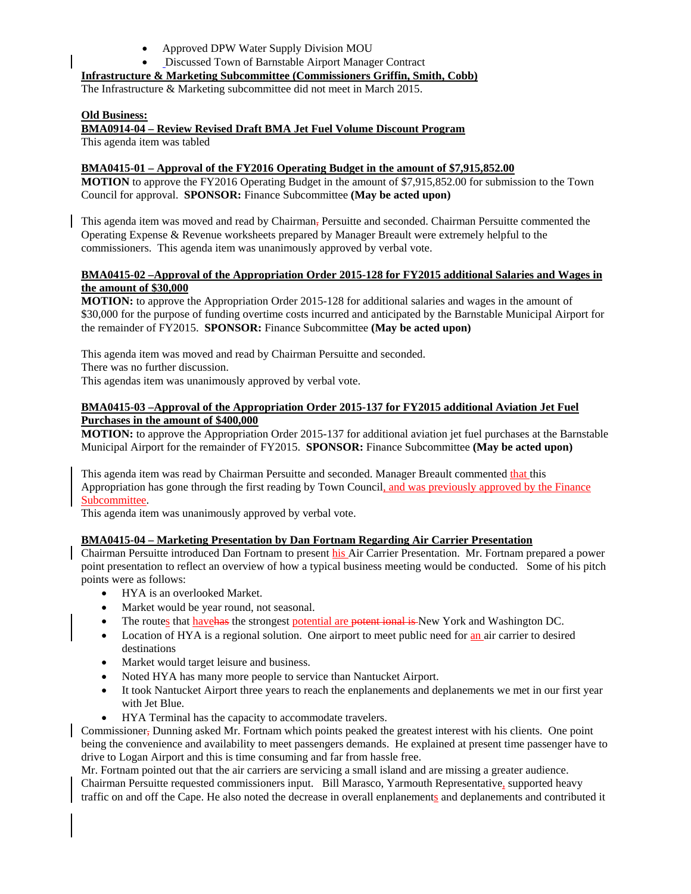- Approved DPW Water Supply Division MOU
- Discussed Town of Barnstable Airport Manager Contract

## **Infrastructure & Marketing Subcommittee (Commissioners Griffin, Smith, Cobb)**

The Infrastructure & Marketing subcommittee did not meet in March 2015.

#### **Old Business:**

**BMA0914-04 – Review Revised Draft BMA Jet Fuel Volume Discount Program** 

This agenda item was tabled

## **BMA0415-01 – Approval of the FY2016 Operating Budget in the amount of \$7,915,852.00**

**MOTION** to approve the FY2016 Operating Budget in the amount of \$7,915,852.00 for submission to the Town Council for approval. **SPONSOR:** Finance Subcommittee **(May be acted upon)** 

This agenda item was moved and read by Chairman, Persuitte and seconded. Chairman Persuitte commented the Operating Expense & Revenue worksheets prepared by Manager Breault were extremely helpful to the commissioners. This agenda item was unanimously approved by verbal vote.

#### **BMA0415-02 –Approval of the Appropriation Order 2015-128 for FY2015 additional Salaries and Wages in the amount of \$30,000**

**MOTION:** to approve the Appropriation Order 2015-128 for additional salaries and wages in the amount of \$30,000 for the purpose of funding overtime costs incurred and anticipated by the Barnstable Municipal Airport for the remainder of FY2015. **SPONSOR:** Finance Subcommittee **(May be acted upon)** 

This agenda item was moved and read by Chairman Persuitte and seconded. There was no further discussion.

This agendas item was unanimously approved by verbal vote.

### **BMA0415-03 –Approval of the Appropriation Order 2015-137 for FY2015 additional Aviation Jet Fuel Purchases in the amount of \$400,000**

**MOTION:** to approve the Appropriation Order 2015-137 for additional aviation jet fuel purchases at the Barnstable Municipal Airport for the remainder of FY2015. **SPONSOR:** Finance Subcommittee **(May be acted upon)** 

This agenda item was read by Chairman Persuitte and seconded. Manager Breault commented that this Appropriation has gone through the first reading by Town Council, and was previously approved by the Finance Subcommittee.

This agenda item was unanimously approved by verbal vote.

### **BMA0415-04 – Marketing Presentation by Dan Fortnam Regarding Air Carrier Presentation**

Chairman Persuitte introduced Dan Fortnam to present his Air Carrier Presentation. Mr. Fortnam prepared a power point presentation to reflect an overview of how a typical business meeting would be conducted. Some of his pitch points were as follows:

- HYA is an overlooked Market.
- Market would be year round, not seasonal.
- The routes that have has the strongest potential are potent ional is New York and Washington DC.
- Location of HYA is a regional solution. One airport to meet public need for an air carrier to desired destinations
- Market would target leisure and business.
- Noted HYA has many more people to service than Nantucket Airport.
- It took Nantucket Airport three years to reach the enplanements and deplanements we met in our first year with Jet Blue.
- HYA Terminal has the capacity to accommodate travelers.

Commissioner, Dunning asked Mr. Fortnam which points peaked the greatest interest with his clients. One point being the convenience and availability to meet passengers demands. He explained at present time passenger have to drive to Logan Airport and this is time consuming and far from hassle free.

Mr. Fortnam pointed out that the air carriers are servicing a small island and are missing a greater audience. Chairman Persuitte requested commissioners input. Bill Marasco, Yarmouth Representative, supported heavy traffic on and off the Cape. He also noted the decrease in overall enplanements and deplanements and contributed it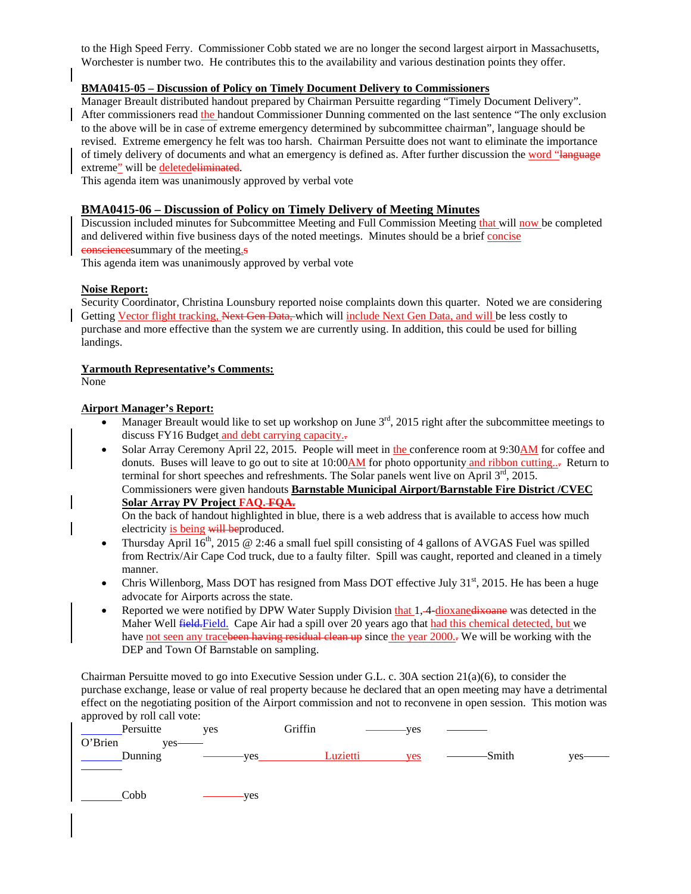to the High Speed Ferry. Commissioner Cobb stated we are no longer the second largest airport in Massachusetts, Worchester is number two. He contributes this to the availability and various destination points they offer.

## **BMA0415-05 – Discussion of Policy on Timely Document Delivery to Commissioners**

Manager Breault distributed handout prepared by Chairman Persuitte regarding "Timely Document Delivery". After commissioners read the handout Commissioner Dunning commented on the last sentence "The only exclusion to the above will be in case of extreme emergency determined by subcommittee chairman", language should be revised. Extreme emergency he felt was too harsh. Chairman Persuitte does not want to eliminate the importance of timely delivery of documents and what an emergency is defined as. After further discussion the word "language extreme" will be deletedeliminated.

This agenda item was unanimously approved by verbal vote

### **BMA0415-06 – Discussion of Policy on Timely Delivery of Meeting Minutes**

Discussion included minutes for Subcommittee Meeting and Full Commission Meeting that will now be completed and delivered within five business days of the noted meetings. Minutes should be a brief concise consciencesummary of the meeting.s

This agenda item was unanimously approved by verbal vote

#### **Noise Report:**

Security Coordinator, Christina Lounsbury reported noise complaints down this quarter. Noted we are considering Getting Vector flight tracking, Next Gen Data, which will include Next Gen Data, and will be less costly to purchase and more effective than the system we are currently using. In addition, this could be used for billing landings.

#### **Yarmouth Representative's Comments:**

None

#### **Airport Manager's Report:**

- Manager Breault would like to set up workshop on June  $3<sup>rd</sup>$ , 2015 right after the subcommittee meetings to discuss FY16 Budget and debt carrying capacity..
- Solar Array Ceremony April 22, 2015. People will meet in the conference room at 9:30AM for coffee and donuts. Buses will leave to go out to site at  $10:00$  AM for photo opportunity and ribbon cutting.... terminal for short speeches and refreshments. The Solar panels went live on April  $3<sup>rd</sup>$ , 2015. Commissioners were given handouts **Barnstable Municipal Airport/Barnstable Fire District /CVEC Solar Array PV Project FAQ. FQA.**

 On the back of handout highlighted in blue, there is a web address that is available to access how much electricity is being will beproduced.

- Thursday April  $16<sup>th</sup>$ , 2015 @ 2:46 a small fuel spill consisting of 4 gallons of AVGAS Fuel was spilled from Rectrix/Air Cape Cod truck, due to a faulty filter. Spill was caught, reported and cleaned in a timely manner.
- Chris Willenborg, Mass DOT has resigned from Mass DOT effective July  $31<sup>st</sup>$ , 2015. He has been a huge advocate for Airports across the state.
- Reported we were notified by DPW Water Supply Division that 1, 4-dioxanedixoane was detected in the Maher Well **field.** Field. Cape Air had a spill over 20 years ago that had this chemical detected, but we have not seen any tracebeen having residual clean up since the year 2000.- We will be working with the DEP and Town Of Barnstable on sampling.

Chairman Persuitte moved to go into Executive Session under G.L. c. 30A section 21(a)(6), to consider the purchase exchange, lease or value of real property because he declared that an open meeting may have a detrimental effect on the negotiating position of the Airport commission and not to reconvene in open session. This motion was approved by roll call vote:

| Persuitte       | yes        | Griffin  | ves |        |            |
|-----------------|------------|----------|-----|--------|------------|
| O'Brien<br>ves- |            |          |     |        |            |
| Dunning         | <b>ves</b> | Luzietti | yes | -Smith | <b>ves</b> |
|                 |            |          |     |        |            |
|                 |            |          |     |        |            |
| Cobb            | yes        |          |     |        |            |